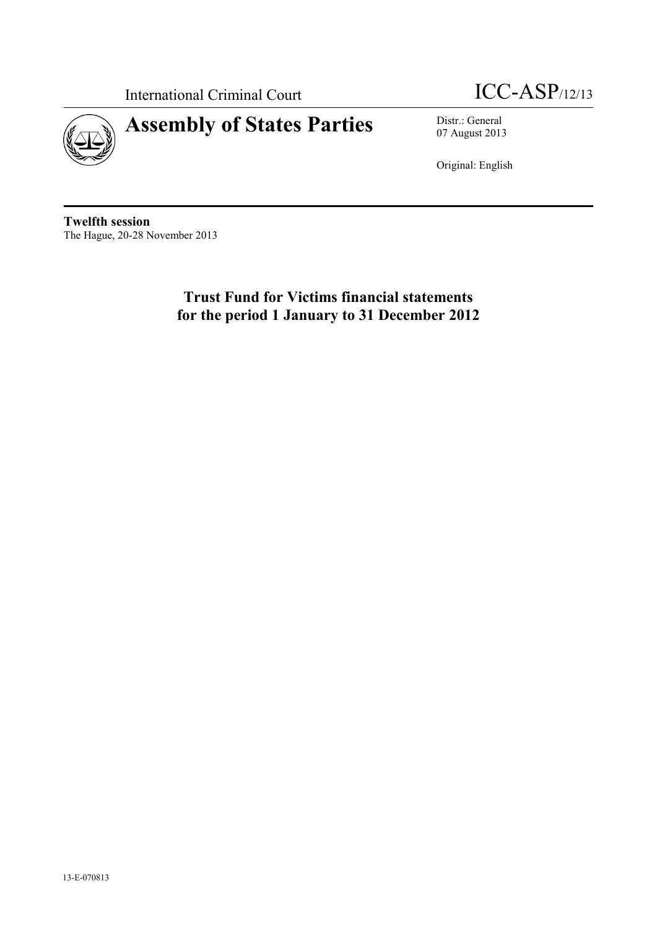



07 August 2013

Original: English

**Twelfth session** The Hague, 20-28 November 2013

> **Trust Fund for Victims financial statements for the period 1 January to 31 December 2012**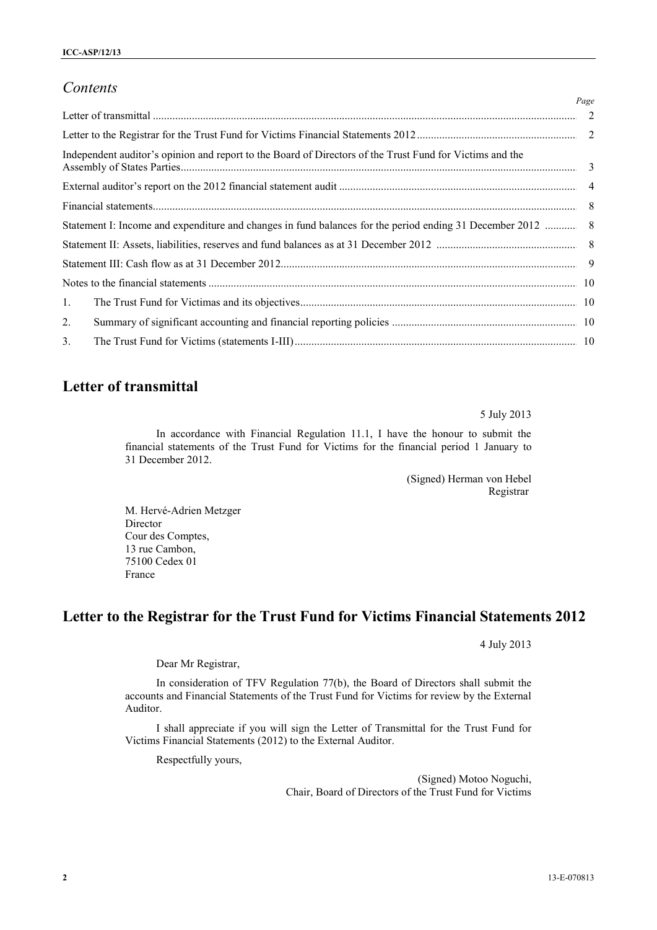## *Contents*

|                |                                                                                                          | Page |
|----------------|----------------------------------------------------------------------------------------------------------|------|
|                |                                                                                                          |      |
|                |                                                                                                          |      |
|                | Independent auditor's opinion and report to the Board of Directors of the Trust Fund for Victims and the |      |
|                |                                                                                                          |      |
|                |                                                                                                          |      |
|                |                                                                                                          |      |
|                |                                                                                                          |      |
|                |                                                                                                          |      |
|                |                                                                                                          |      |
| 1.             |                                                                                                          |      |
| 2.             |                                                                                                          |      |
| $\mathbf{3}$ . |                                                                                                          |      |

# **Letter of transmittal**

5 July 2013

In accordance with Financial Regulation 11.1, I have the honour to submit the financial statements of the Trust Fund for Victims for the financial period 1 January to 31 December 2012.

> (Signed) Herman von Hebel Registrar

M. Hervé-Adrien Metzger Director Cour des Comptes, 13 rue Cambon, 75100 Cedex 01 France

# **Letter to the Registrar for the Trust Fund for Victims Financial Statements 2012**

4 July 2013

Dear Mr Registrar,

In consideration of TFV Regulation 77(b), the Board of Directors shall submit the accounts and Financial Statements of the Trust Fund for Victims for review by the External Auditor.

I shall appreciate if you will sign the Letter of Transmittal for the Trust Fund for Victims Financial Statements (2012) to the External Auditor.

Respectfully yours,

(Signed) Motoo Noguchi, Chair, Board of Directors of the Trust Fund for Victims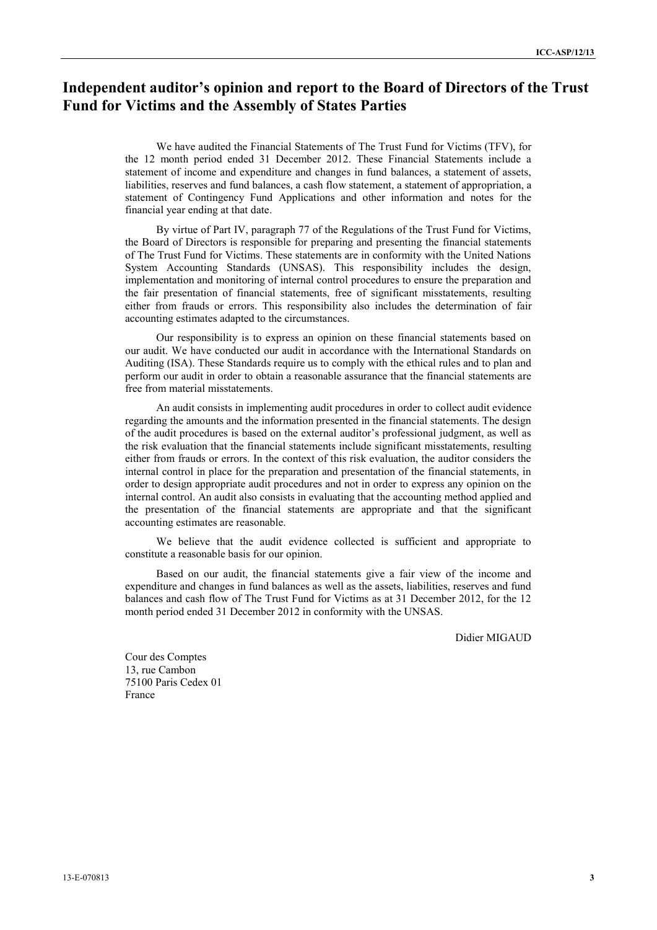# **Independent auditor's opinion and report to the Board of Directors of the Trust Fund for Victims and the Assembly of States Parties**

We have audited the Financial Statements of The Trust Fund for Victims (TFV), for the 12 month period ended 31 December 2012. These Financial Statements include a statement of income and expenditure and changes in fund balances, a statement of assets, liabilities, reserves and fund balances, a cash flow statement, a statement of appropriation, a statement of Contingency Fund Applications and other information and notes for the financial year ending at that date.

By virtue of Part IV, paragraph 77 of the Regulations of the Trust Fund for Victims, the Board of Directors is responsible for preparing and presenting the financial statements of The Trust Fund for Victims. These statements are in conformity with the United Nations System Accounting Standards (UNSAS). This responsibility includes the design, implementation and monitoring of internal control procedures to ensure the preparation and the fair presentation of financial statements, free of significant misstatements, resulting either from frauds or errors. This responsibility also includes the determination of fair accounting estimates adapted to the circumstances.

Our responsibility is to express an opinion on these financial statements based on our audit. We have conducted our audit in accordance with the International Standards on Auditing (ISA). These Standards require us to comply with the ethical rules and to plan and perform our audit in order to obtain a reasonable assurance that the financial statements are free from material misstatements.

An audit consists in implementing audit procedures in order to collect audit evidence regarding the amounts and the information presented in the financial statements. The design of the audit procedures is based on the external auditor's professional judgment, as well as the risk evaluation that the financial statements include significant misstatements, resulting either from frauds or errors. In the context of this risk evaluation, the auditor considers the internal control in place for the preparation and presentation of the financial statements, in order to design appropriate audit procedures and not in order to express any opinion on the internal control. An audit also consists in evaluating that the accounting method applied and the presentation of the financial statements are appropriate and that the significant accounting estimates are reasonable.

We believe that the audit evidence collected is sufficient and appropriate to constitute a reasonable basis for our opinion.

Based on our audit, the financial statements give a fair view of the income and expenditure and changes in fund balances as well as the assets, liabilities, reserves and fund balances and cash flow of The Trust Fund for Victims as at 31 December 2012, for the 12 month period ended 31 December 2012 in conformity with the UNSAS.

Didier MIGAUD

Cour des Comptes 13, rue Cambon 75100 Paris Cedex 01 France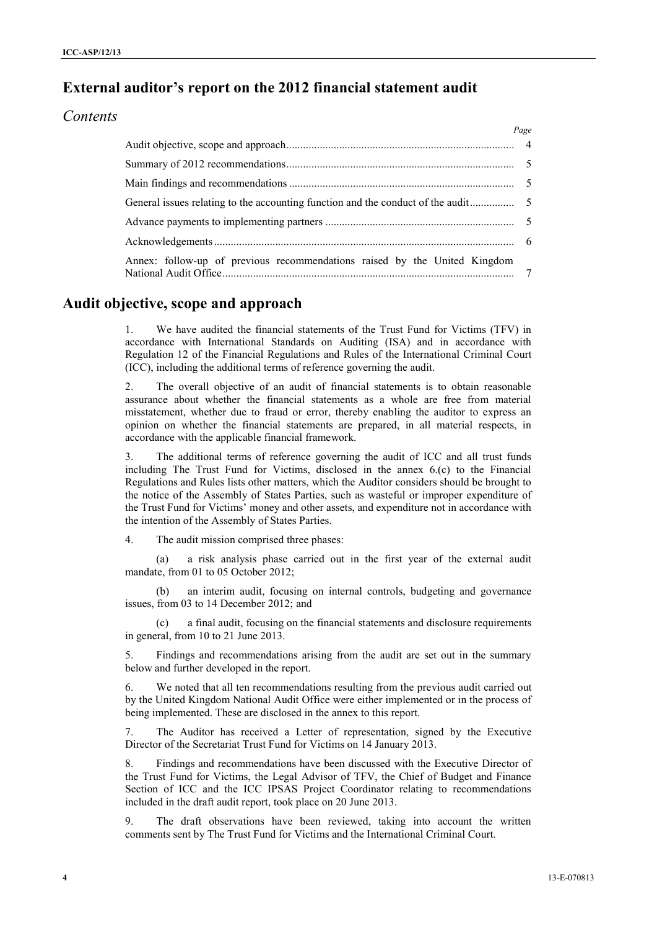# **External auditor's report on the 2012 financial statement audit**

### *Contents*

|                                                                           | Page |
|---------------------------------------------------------------------------|------|
|                                                                           |      |
|                                                                           |      |
|                                                                           |      |
|                                                                           |      |
|                                                                           |      |
|                                                                           |      |
| Annex: follow-up of previous recommendations raised by the United Kingdom |      |

## **Audit objective, scope and approach**

1. We have audited the financial statements of the Trust Fund for Victims (TFV) in accordance with International Standards on Auditing (ISA) and in accordance with Regulation 12 of the Financial Regulations and Rules of the International Criminal Court (ICC), including the additional terms of reference governing the audit.

2. The overall objective of an audit of financial statements is to obtain reasonable assurance about whether the financial statements as a whole are free from material misstatement, whether due to fraud or error, thereby enabling the auditor to express an opinion on whether the financial statements are prepared, in all material respects, in accordance with the applicable financial framework.

3. The additional terms of reference governing the audit of ICC and all trust funds including The Trust Fund for Victims, disclosed in the annex 6.(c) to the Financial Regulations and Rules lists other matters, which the Auditor considers should be brought to the notice of the Assembly of States Parties, such as wasteful or improper expenditure of the Trust Fund for Victims' money and other assets, and expenditure not in accordance with the intention of the Assembly of States Parties.

4. The audit mission comprised three phases:

(a) a risk analysis phase carried out in the first year of the external audit mandate, from 01 to 05 October 2012;

(b) an interim audit, focusing on internal controls, budgeting and governance issues, from 03 to 14 December 2012; and

(c) a final audit, focusing on the financial statements and disclosure requirements in general, from 10 to 21 June 2013.

5. Findings and recommendations arising from the audit are set out in the summary below and further developed in the report.

6. We noted that all ten recommendations resulting from the previous audit carried out by the United Kingdom National Audit Office were either implemented or in the process of being implemented. These are disclosed in the annex to this report.

7. The Auditor has received a Letter of representation, signed by the Executive Director of the Secretariat Trust Fund for Victims on 14 January 2013.

8. Findings and recommendations have been discussed with the Executive Director of the Trust Fund for Victims, the Legal Advisor of TFV, the Chief of Budget and Finance Section of ICC and the ICC IPSAS Project Coordinator relating to recommendations included in the draft audit report, took place on 20 June 2013.

9. The draft observations have been reviewed, taking into account the written comments sent by The Trust Fund for Victims and the International Criminal Court.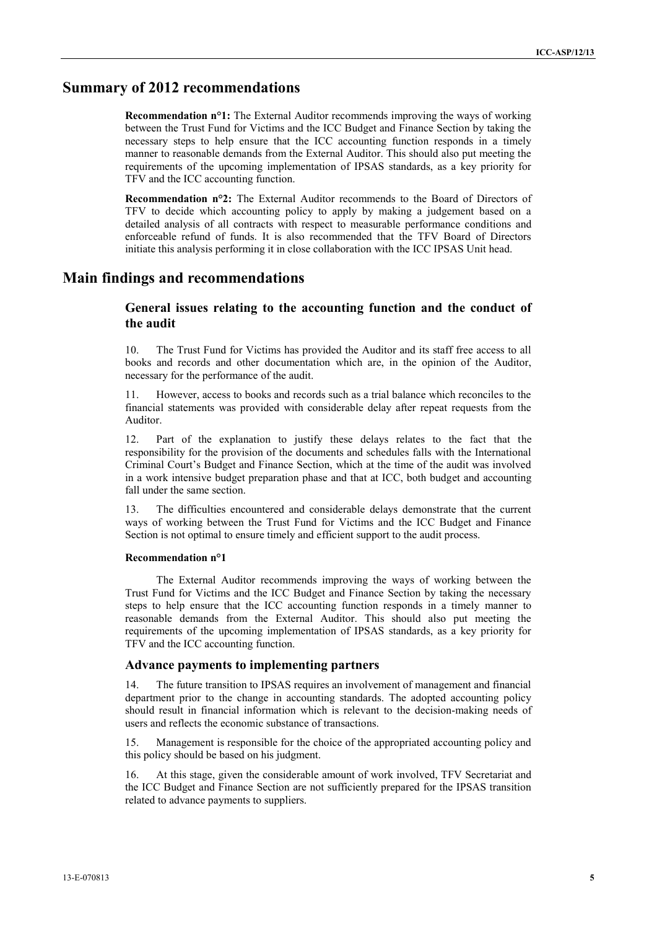### **Summary of 2012 recommendations**

**Recommendation n°1:** The External Auditor recommends improving the ways of working between the Trust Fund for Victims and the ICC Budget and Finance Section by taking the necessary steps to help ensure that the ICC accounting function responds in a timely manner to reasonable demands from the External Auditor. This should also put meeting the requirements of the upcoming implementation of IPSAS standards, as a key priority for TFV and the ICC accounting function.

**Recommendation n°2:** The External Auditor recommends to the Board of Directors of TFV to decide which accounting policy to apply by making a judgement based on a detailed analysis of all contracts with respect to measurable performance conditions and enforceable refund of funds. It is also recommended that the TFV Board of Directors initiate this analysis performing it in close collaboration with the ICC IPSAS Unit head.

### **Main findings and recommendations**

### **General issues relating to the accounting function and the conduct of the audit**

10. The Trust Fund for Victims has provided the Auditor and its staff free access to all books and records and other documentation which are, in the opinion of the Auditor, necessary for the performance of the audit.

11. However, access to books and records such as a trial balance which reconciles to the financial statements was provided with considerable delay after repeat requests from the Auditor.

12. Part of the explanation to justify these delays relates to the fact that the responsibility for the provision of the documents and schedules falls with the International Criminal Court's Budget and Finance Section, which at the time of the audit was involved in a work intensive budget preparation phase and that at ICC, both budget and accounting fall under the same section.

13. The difficulties encountered and considerable delays demonstrate that the current ways of working between the Trust Fund for Victims and the ICC Budget and Finance Section is not optimal to ensure timely and efficient support to the audit process.

#### **Recommendation n°1**

The External Auditor recommends improving the ways of working between the Trust Fund for Victims and the ICC Budget and Finance Section by taking the necessary steps to help ensure that the ICC accounting function responds in a timely manner to reasonable demands from the External Auditor. This should also put meeting the requirements of the upcoming implementation of IPSAS standards, as a key priority for TFV and the ICC accounting function.

#### **Advance payments to implementing partners**

14. The future transition to IPSAS requires an involvement of management and financial department prior to the change in accounting standards. The adopted accounting policy should result in financial information which is relevant to the decision-making needs of users and reflects the economic substance of transactions.

15. Management is responsible for the choice of the appropriated accounting policy and this policy should be based on his judgment.

16. At this stage, given the considerable amount of work involved, TFV Secretariat and the ICC Budget and Finance Section are not sufficiently prepared for the IPSAS transition related to advance payments to suppliers.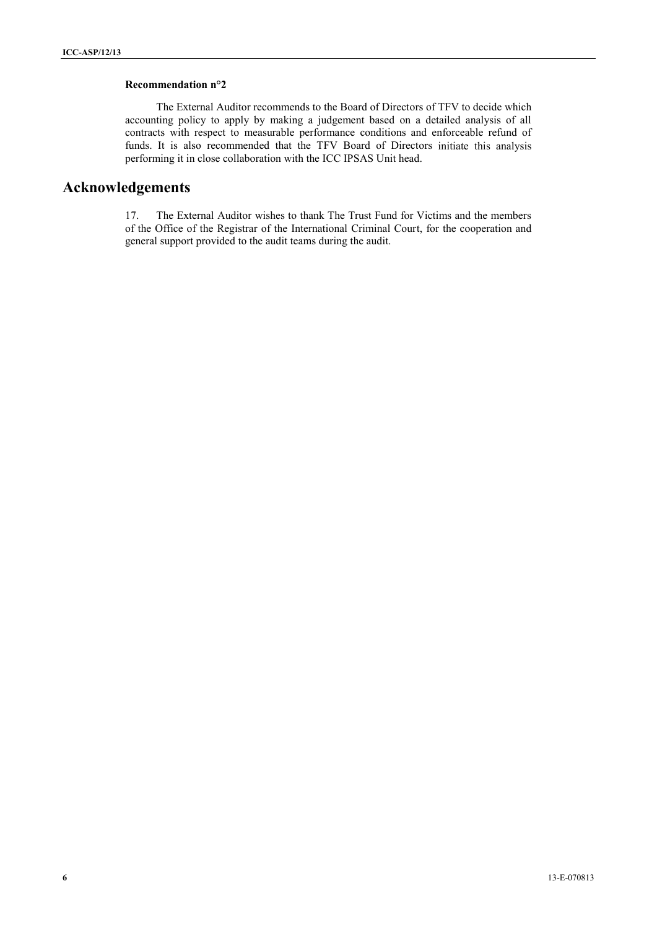#### **Recommendation n°2**

The External Auditor recommends to the Board of Directors of TFV to decide which accounting policy to apply by making a judgement based on a detailed analysis of all contracts with respect to measurable performance conditions and enforceable refund of funds. It is also recommended that the TFV Board of Directors initiate this analysis performing it in close collaboration with the ICC IPSAS Unit head.

## **Acknowledgements**

17. The External Auditor wishes to thank The Trust Fund for Victims and the members of the Office of the Registrar of the International Criminal Court, for the cooperation and general support provided to the audit teams during the audit.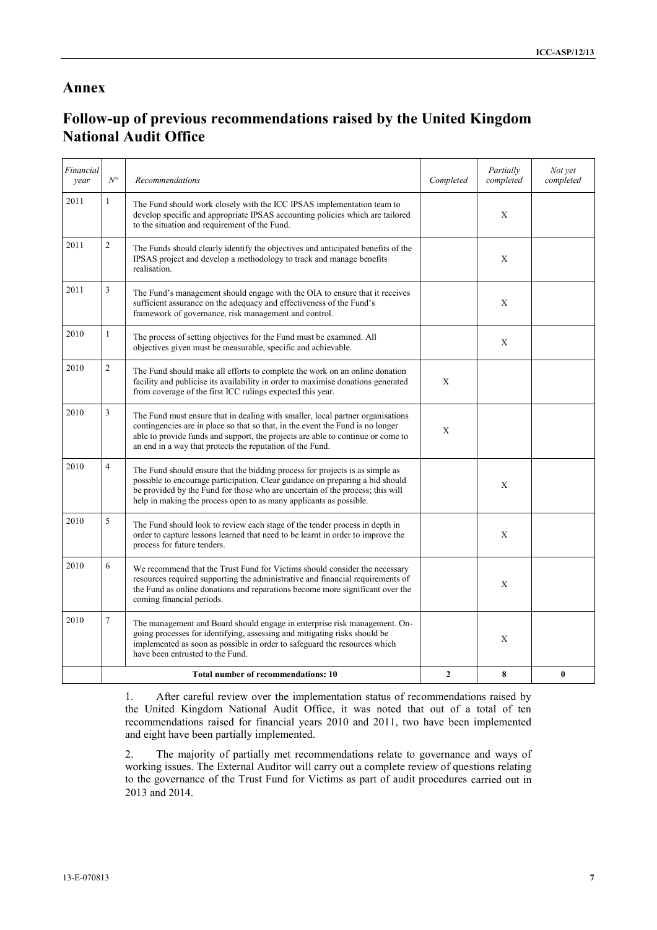### **Annex**

# **Follow-up of previous recommendations raised by the United Kingdom National Audit Office**

| Financial<br>vear | $N^{\circ}$                         | <b>Recommendations</b>                                                                                                                                                                                                                                                                                               | Completed    | Partially<br>completed | Not yet<br>completed |
|-------------------|-------------------------------------|----------------------------------------------------------------------------------------------------------------------------------------------------------------------------------------------------------------------------------------------------------------------------------------------------------------------|--------------|------------------------|----------------------|
| 2011              | $\mathbf{1}$                        | The Fund should work closely with the ICC IPSAS implementation team to<br>develop specific and appropriate IPSAS accounting policies which are tailored<br>to the situation and requirement of the Fund.                                                                                                             |              | X                      |                      |
| 2011              | $\mathfrak{2}$                      | The Funds should clearly identify the objectives and anticipated benefits of the<br>IPSAS project and develop a methodology to track and manage benefits<br>realisation.                                                                                                                                             |              | Х                      |                      |
| 2011              | 3                                   | The Fund's management should engage with the OIA to ensure that it receives<br>sufficient assurance on the adequacy and effectiveness of the Fund's<br>framework of governance, risk management and control.                                                                                                         |              | X                      |                      |
| 2010              | 1                                   | The process of setting objectives for the Fund must be examined. All<br>objectives given must be measurable, specific and achievable.                                                                                                                                                                                |              | X                      |                      |
| 2010              | $\overline{2}$                      | The Fund should make all efforts to complete the work on an online donation<br>facility and publicise its availability in order to maximise donations generated<br>from coverage of the first ICC rulings expected this year.                                                                                        | X            |                        |                      |
| 2010              | 3                                   | The Fund must ensure that in dealing with smaller, local partner organisations<br>contingencies are in place so that so that, in the event the Fund is no longer<br>able to provide funds and support, the projects are able to continue or come to<br>an end in a way that protects the reputation of the Fund.     | X            |                        |                      |
| 2010              | $\overline{4}$                      | The Fund should ensure that the bidding process for projects is as simple as<br>possible to encourage participation. Clear guidance on preparing a bid should<br>be provided by the Fund for those who are uncertain of the process; this will<br>help in making the process open to as many applicants as possible. |              | X                      |                      |
| 2010              | 5                                   | The Fund should look to review each stage of the tender process in depth in<br>order to capture lessons learned that need to be learnt in order to improve the<br>process for future tenders.                                                                                                                        |              | X                      |                      |
| 2010              | 6                                   | We recommend that the Trust Fund for Victims should consider the necessary<br>resources required supporting the administrative and financial requirements of<br>the Fund as online donations and reparations become more significant over the<br>coming financial periods.                                           |              | X                      |                      |
| 2010              | $\overline{7}$                      | The management and Board should engage in enterprise risk management. On-<br>going processes for identifying, assessing and mitigating risks should be<br>implemented as soon as possible in order to safeguard the resources which<br>have been entrusted to the Fund.                                              |              | X                      |                      |
|                   | Total number of recommendations: 10 |                                                                                                                                                                                                                                                                                                                      | $\mathbf{2}$ | 8                      | 0                    |

1. After careful review over the implementation status of recommendations raised by the United Kingdom National Audit Office, it was noted that out of a total of ten recommendations raised for financial years 2010 and 2011, two have been implemented and eight have been partially implemented.

2. The majority of partially met recommendations relate to governance and ways of working issues. The External Auditor will carry out a complete review of questions relating to the governance of the Trust Fund for Victims as part of audit procedures carried out in 2013 and 2014.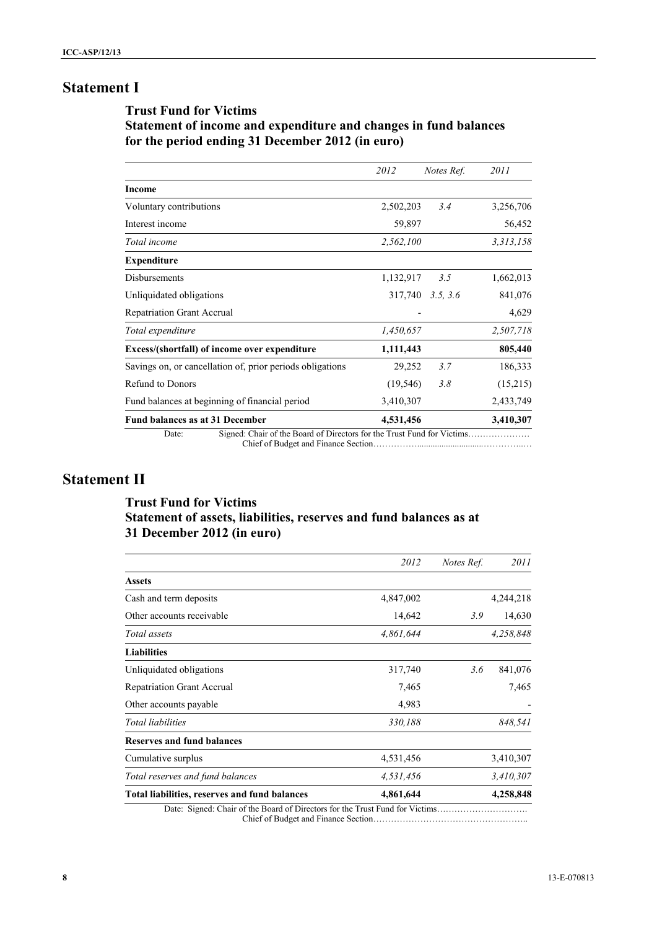# **Statement I**

## <span id="page-7-0"></span>**Trust Fund for Victims Statement of income and expenditure and changes in fund balances for the period ending 31 December 2012 (in euro)**

<span id="page-7-1"></span>

|                                                                                  | 2012      | Notes Ref. | 2011      |
|----------------------------------------------------------------------------------|-----------|------------|-----------|
| <b>Income</b>                                                                    |           |            |           |
| Voluntary contributions                                                          | 2,502,203 | 3.4        | 3,256,706 |
| Interest income                                                                  | 59,897    |            | 56,452    |
| Total income                                                                     | 2,562,100 |            | 3,313,158 |
| <b>Expenditure</b>                                                               |           |            |           |
| <b>Disbursements</b>                                                             | 1,132,917 | 3.5        | 1,662,013 |
| Unliquidated obligations                                                         | 317,740   | 3.5, 3.6   | 841,076   |
| <b>Repatriation Grant Accrual</b>                                                |           |            | 4,629     |
| Total expenditure                                                                | 1,450,657 |            | 2,507,718 |
| Excess/(shortfall) of income over expenditure                                    | 1,111,443 |            | 805,440   |
| Savings on, or cancellation of, prior periods obligations                        | 29,252    | 3.7        | 186,333   |
| <b>Refund to Donors</b>                                                          | (19, 546) | 3.8        | (15,215)  |
| Fund balances at beginning of financial period                                   | 3,410,307 |            | 2,433,749 |
| Fund balances as at 31 December                                                  | 4,531,456 |            | 3,410,307 |
| Signed: Chair of the Board of Directors for the Trust Fund for Victims.<br>Date: |           |            |           |

Chief of Budget and Finance Section……………..............................…………..…

# **Statement II**

## <span id="page-7-2"></span>**Trust Fund for Victims Statement of assets, liabilities, reserves and fund balances as at 31 December 2012 (in euro)**

|                                                                               | 2012      | Notes Ref. | 2011      |
|-------------------------------------------------------------------------------|-----------|------------|-----------|
| <b>Assets</b>                                                                 |           |            |           |
| Cash and term deposits                                                        | 4,847,002 |            | 4,244,218 |
| Other accounts receivable                                                     | 14,642    | 3.9        | 14,630    |
| Total assets                                                                  | 4,861,644 |            | 4,258,848 |
| <b>Liabilities</b>                                                            |           |            |           |
| Unliquidated obligations                                                      | 317,740   | 3.6        | 841,076   |
| <b>Repatriation Grant Accrual</b>                                             | 7,465     |            | 7,465     |
| Other accounts payable                                                        | 4,983     |            |           |
| <b>Total liabilities</b>                                                      | 330,188   |            | 848,541   |
| <b>Reserves and fund balances</b>                                             |           |            |           |
| Cumulative surplus                                                            | 4,531,456 |            | 3,410,307 |
| Total reserves and fund balances                                              | 4,531,456 |            | 3,410,307 |
| Total liabilities, reserves and fund balances                                 | 4,861,644 |            | 4,258,848 |
| Date: Signed: Chair of the Board of Directors for the Trust Fund for Victims. |           |            |           |

Chief of Budget and Finance Section……………………………………………..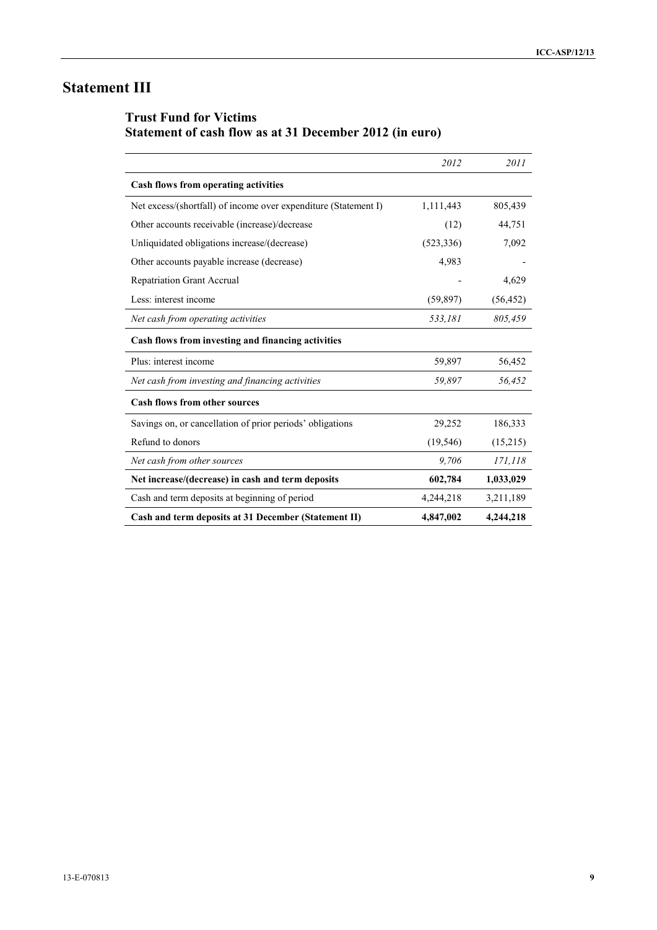# **Statement III**

# **Trust Fund for Victims Statement of cash flow as at 31 December 2012 (in euro)**

|                                                                 | 2012       | 2011      |
|-----------------------------------------------------------------|------------|-----------|
| Cash flows from operating activities                            |            |           |
| Net excess/(shortfall) of income over expenditure (Statement I) | 1,111,443  | 805,439   |
| Other accounts receivable (increase)/decrease                   | (12)       | 44,751    |
| Unliquidated obligations increase/(decrease)                    | (523, 336) | 7,092     |
| Other accounts payable increase (decrease)                      | 4,983      |           |
| <b>Repatriation Grant Accrual</b>                               |            | 4,629     |
| Less: interest income                                           | (59, 897)  | (56, 452) |
| Net cash from operating activities                              | 533,181    | 805,459   |
| Cash flows from investing and financing activities              |            |           |
| Plus: interest income                                           | 59,897     | 56,452    |
| Net cash from investing and financing activities                | 59,897     | 56,452    |
| <b>Cash flows from other sources</b>                            |            |           |
| Savings on, or cancellation of prior periods' obligations       | 29,252     | 186,333   |
| Refund to donors                                                | (19, 546)  | (15,215)  |
| Net cash from other sources                                     | 9,706      | 171,118   |
| Net increase/(decrease) in cash and term deposits               | 602,784    | 1,033,029 |
| Cash and term deposits at beginning of period                   | 4,244,218  | 3,211,189 |
| Cash and term deposits at 31 December (Statement II)            | 4,847,002  | 4,244,218 |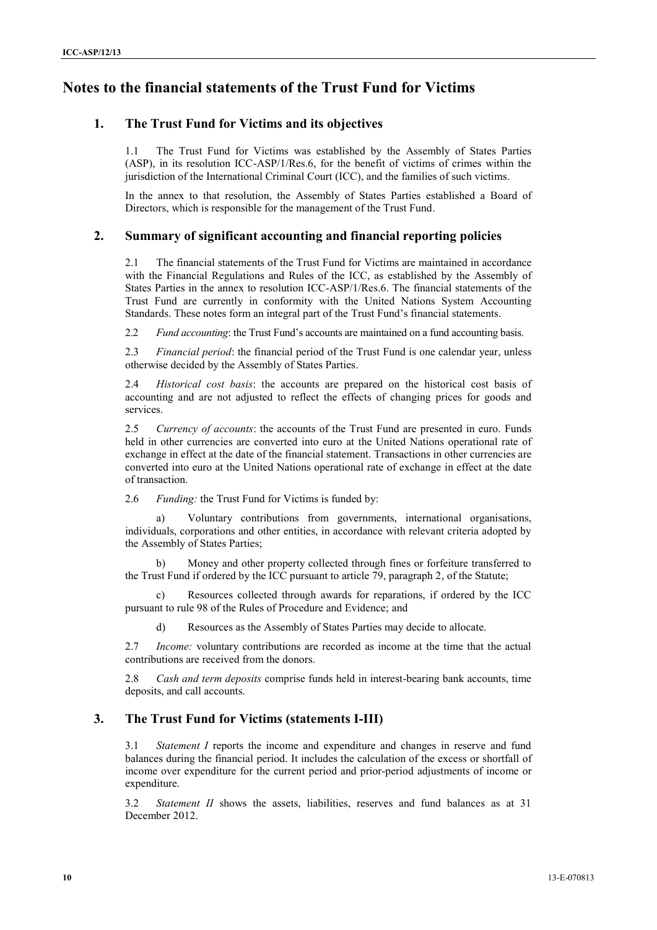# **Notes to the financial statements of the Trust Fund for Victims**

### **1. The Trust Fund for Victims and its objectives**

1.1 The Trust Fund for Victims was established by the Assembly of States Parties (ASP), in its resolution ICC-ASP/1/Res.6, for the benefit of victims of crimes within the jurisdiction of the International Criminal Court (ICC), and the families of such victims.

In the annex to that resolution, the Assembly of States Parties established a Board of Directors, which is responsible for the management of the Trust Fund.

#### **2. Summary of significant accounting and financial reporting policies**

2.1 The financial statements of the Trust Fund for Victims are maintained in accordance with the Financial Regulations and Rules of the ICC, as established by the Assembly of States Parties in the annex to resolution ICC-ASP/1/Res.6. The financial statements of the Trust Fund are currently in conformity with the United Nations System Accounting Standards. These notes form an integral part of the Trust Fund's financial statements.

2.2 *Fund accounting*: the Trust Fund's accounts are maintained on a fund accounting basis.

2.3 *Financial period*: the financial period of the Trust Fund is one calendar year, unless otherwise decided by the Assembly of States Parties.

2.4 *Historical cost basis*: the accounts are prepared on the historical cost basis of accounting and are not adjusted to reflect the effects of changing prices for goods and services.

2.5 *Currency of accounts*: the accounts of the Trust Fund are presented in euro. Funds held in other currencies are converted into euro at the United Nations operational rate of exchange in effect at the date of the financial statement. Transactions in other currencies are converted into euro at the United Nations operational rate of exchange in effect at the date of transaction.

2.6 *Funding:* the Trust Fund for Victims is funded by:

Voluntary contributions from governments, international organisations, individuals, corporations and other entities, in accordance with relevant criteria adopted by the Assembly of States Parties;

b) Money and other property collected through fines or forfeiture transferred to the Trust Fund if ordered by the ICC pursuant to article 79, paragraph 2, of the Statute;

c) Resources collected through awards for reparations, if ordered by the ICC pursuant to rule 98 of the Rules of Procedure and Evidence; and

d) Resources as the Assembly of States Parties may decide to allocate.

2.7 *Income:* voluntary contributions are recorded as income at the time that the actual contributions are received from the donors.

2.8 *Cash and term deposits* comprise funds held in interest-bearing bank accounts, time deposits, and call accounts.

### **3. The Trust Fund for Victims (statements I-III)**

3.1 *Statement I* reports the income and expenditure and changes in reserve and fund balances during the financial period. It includes the calculation of the excess or shortfall of income over expenditure for the current period and prior-period adjustments of income or expenditure.

3.2 *Statement II* shows the assets, liabilities, reserves and fund balances as at 31 December 2012.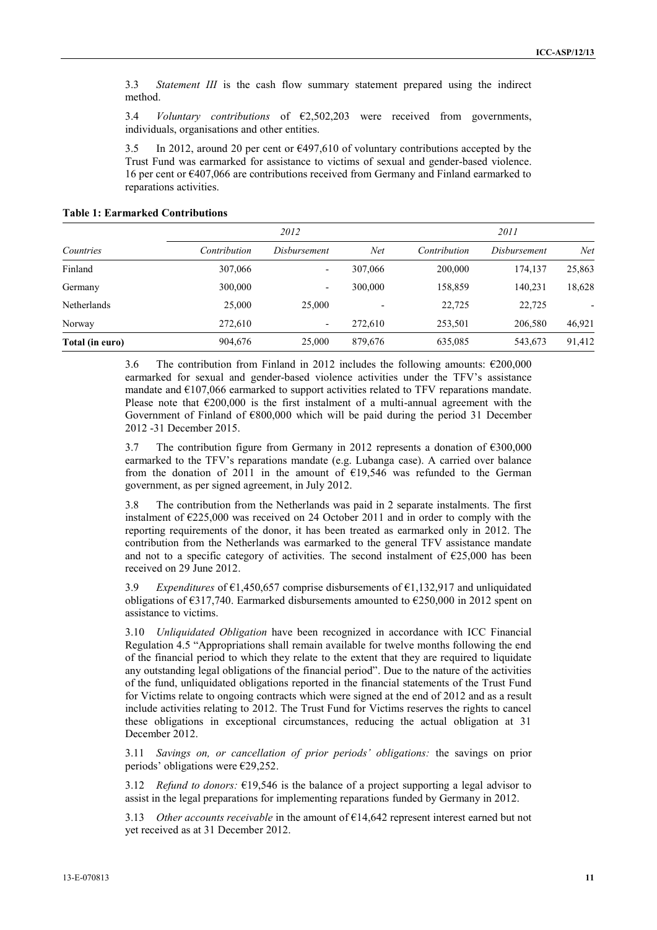3.3 *Statement III* is the cash flow summary statement prepared using the indirect method.

3.4 *Voluntary contributions* of €2,502,203 were received from governments, individuals, organisations and other entities.

3.5 In 2012, around 20 per cent or  $\epsilon$ 497,610 of voluntary contributions accepted by the Trust Fund was earmarked for assistance to victims of sexual and gender-based violence. 16 per cent or €407,066 are contributions received from Germany and Finland earmarked to reparations activities.

**Table 1: Earmarked Contributions**

|                    | 2012         |                          |         | 2011         |              |        |
|--------------------|--------------|--------------------------|---------|--------------|--------------|--------|
| Countries          | Contribution | Disbursement             | Net     | Contribution | Disbursement | Net    |
| Finland            | 307,066      | $\overline{\phantom{a}}$ | 307,066 | 200,000      | 174,137      | 25,863 |
| Germany            | 300,000      | $\overline{\phantom{0}}$ | 300,000 | 158,859      | 140,231      | 18,628 |
| <b>Netherlands</b> | 25,000       | 25,000                   |         | 22,725       | 22,725       |        |
| Norway             | 272,610      | ٠                        | 272.610 | 253,501      | 206,580      | 46,921 |
| Total (in euro)    | 904,676      | 25,000                   | 879,676 | 635,085      | 543,673      | 91,412 |

3.6 The contribution from Finland in 2012 includes the following amounts:  $\epsilon$ 200,000 earmarked for sexual and gender-based violence activities under the TFV's assistance mandate and €107,066 earmarked to support activities related to TFV reparations mandate. Please note that  $\epsilon$ 200,000 is the first instalment of a multi-annual agreement with the Government of Finland of €800,000 which will be paid during the period 31 December 2012 -31 December 2015.

3.7 The contribution figure from Germany in 2012 represents a donation of €300,000 earmarked to the TFV's reparations mandate (e.g. Lubanga case). A carried over balance from the donation of 2011 in the amount of  $£19,546$  was refunded to the German government, as per signed agreement, in July 2012.

3.8 The contribution from the Netherlands was paid in 2 separate instalments. The first instalment of  $\epsilon$ 225,000 was received on 24 October 2011 and in order to comply with the reporting requirements of the donor, it has been treated as earmarked only in 2012. The contribution from the Netherlands was earmarked to the general TFV assistance mandate and not to a specific category of activities. The second instalment of  $\epsilon$ 25,000 has been received on 29 June 2012.

3.9 *Expenditures* of €1,450,657 comprise disbursements of €1,132,917 and unliquidated obligations of  $\epsilon$ 317,740. Earmarked disbursements amounted to  $\epsilon$ 250,000 in 2012 spent on assistance to victims.

3.10 *Unliquidated Obligation* have been recognized in accordance with ICC Financial Regulation 4.5 "Appropriations shall remain available for twelve months following the end of the financial period to which they relate to the extent that they are required to liquidate any outstanding legal obligations of the financial period". Due to the nature of the activities of the fund, unliquidated obligations reported in the financial statements of the Trust Fund for Victims relate to ongoing contracts which were signed at the end of 2012 and as a result include activities relating to 2012. The Trust Fund for Victims reserves the rights to cancel these obligations in exceptional circumstances, reducing the actual obligation at 31 December 2012.

3.11 *Savings on, or cancellation of prior periods' obligations:* the savings on prior periods' obligations were €29,252.

3.12 *Refund to donors:* €19,546 is the balance of a project supporting a legal advisor to assist in the legal preparations for implementing reparations funded by Germany in 2012.

3.13 *Other accounts receivable* in the amount of  $\epsilon$ 14,642 represent interest earned but not yet received as at 31 December 2012.